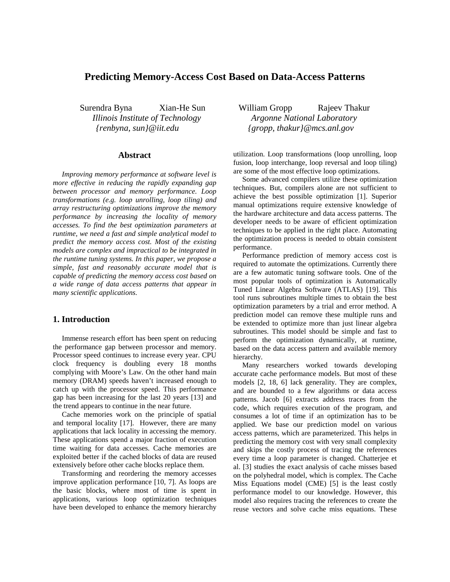# **Predicting Memory-Access Cost Based on Data-Access Patterns**

#### **Abstract**

*Improving memory performance at software level is more effective in reducing the rapidly expanding gap between processor and memory performance. Loop transformations (e.g. loop unrolling, loop tiling) and array restructuring optimizations improve the memory performance by increasing the locality of memory accesses. To find the best optimization parameters at runtime, we need a fast and simple analytical model to predict the memory access cost. Most of the existing models are complex and impractical to be integrated in the runtime tuning systems. In this paper, we propose a simple, fast and reasonably accurate model that is capable of predicting the memory access cost based on a wide range of data access patterns that appear in many scientific applications.* 

## **1. Introduction**

Immense research effort has been spent on reducing the performance gap between processor and memory. Processor speed continues to increase every year. CPU clock frequency is doubling every 18 months complying with Moore's Law. On the other hand main memory (DRAM) speeds haven't increased enough to catch up with the processor speed. This performance gap has been increasing for the last 20 years [13] and the trend appears to continue in the near future.

Cache memories work on the principle of spatial and temporal locality [17]. However, there are many applications that lack locality in accessing the memory. These applications spend a major fraction of execution time waiting for data accesses. Cache memories are exploited better if the cached blocks of data are reused extensively before other cache blocks replace them.

Transforming and reordering the memory accesses improve application performance [10, 7]. As loops are the basic blocks, where most of time is spent in applications, various loop optimization techniques have been developed to enhance the memory hierarchy

Surendra Byna Xian-He Sun William Gropp Rajeev Thakur *Illinois Institute of Technology Argonne National Laboratory {renbyna, sun}@iit.edu {gropp, thakur}@mcs.anl.gov* 

> utilization. Loop transformations (loop unrolling, loop fusion, loop interchange, loop reversal and loop tiling) are some of the most effective loop optimizations.

> Some advanced compilers utilize these optimization techniques. But, compilers alone are not sufficient to achieve the best possible optimization [1]. Superior manual optimizations require extensive knowledge of the hardware architecture and data access patterns. The developer needs to be aware of efficient optimization techniques to be applied in the right place. Automating the optimization process is needed to obtain consistent performance.

> Performance prediction of memory access cost is required to automate the optimizations. Currently there are a few automatic tuning software tools. One of the most popular tools of optimization is Automatically Tuned Linear Algebra Software (ATLAS) [19]. This tool runs subroutines multiple times to obtain the best optimization parameters by a trial and error method. A prediction model can remove these multiple runs and be extended to optimize more than just linear algebra subroutines. This model should be simple and fast to perform the optimization dynamically, at runtime, based on the data access pattern and available memory hierarchy.

> Many researchers worked towards developing accurate cache performance models. But most of these models [2, 18, 6] lack generality. They are complex, and are bounded to a few algorithms or data access patterns. Jacob [6] extracts address traces from the code, which requires execution of the program, and consumes a lot of time if an optimization has to be applied. We base our prediction model on various access patterns, which are parameterized. This helps in predicting the memory cost with very small complexity and skips the costly process of tracing the references every time a loop parameter is changed. Chatterjee et al. [3] studies the exact analysis of cache misses based on the polyhedral model, which is complex. The Cache Miss Equations model (CME) [5] is the least costly performance model to our knowledge. However, this model also requires tracing the references to create the reuse vectors and solve cache miss equations. These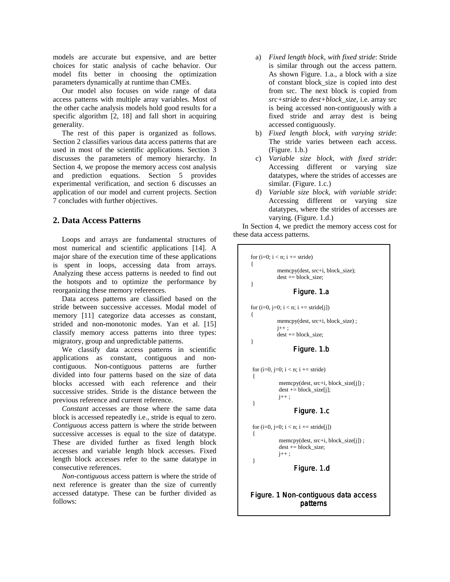models are accurate but expensive, and are better choices for static analysis of cache behavior. Our model fits better in choosing the optimization parameters dynamically at runtime than CMEs.

Our model also focuses on wide range of data access patterns with multiple array variables. Most of the other cache analysis models hold good results for a specific algorithm [2, 18] and fall short in acquiring generality.

The rest of this paper is organized as follows. Section 2 classifies various data access patterns that are used in most of the scientific applications. Section 3 discusses the parameters of memory hierarchy. In Section 4, we propose the memory access cost analysis and prediction equations. Section 5 provides experimental verification, and section 6 discusses an application of our model and current projects. Section 7 concludes with further objectives.

### **2. Data Access Patterns**

Loops and arrays are fundamental structures of most numerical and scientific applications [14]. A major share of the execution time of these applications is spent in loops, accessing data from arrays. Analyzing these access patterns is needed to find out the hotspots and to optimize the performance by reorganizing these memory references.

Data access patterns are classified based on the stride between successive accesses. Modal model of memory [11] categorize data accesses as constant, strided and non-monotonic modes. Yan et al. [15] classify memory access patterns into three types: migratory, group and unpredictable patterns.

We classify data access patterns in scientific applications as constant, contiguous and noncontiguous. Non-contiguous patterns are further divided into four patterns based on the size of data blocks accessed with each reference and their successive strides. Stride is the distance between the previous reference and current reference.

*Constant* accesses are those where the same data block is accessed repeatedly i.e., stride is equal to zero. *Contiguous* access pattern is where the stride between successive accesses is equal to the size of datatype. These are divided further as fixed length block accesses and variable length block accesses. Fixed length block accesses refer to the same datatype in consecutive references.

*Non-contiguous* access pattern is where the stride of next reference is greater than the size of currently accessed datatype. These can be further divided as follows:

- a) *Fixed length block, with fixed stride*: Stride is similar through out the access pattern. As shown Figure. 1.a., a block with a size of constant block\_size is copied into dest from src. The next block is copied from *src+stride* to *dest+block\_size*, i.e. array src is being accessed non-contiguously with a fixed stride and array dest is being accessed contiguously.
- b) *Fixed length block, with varying stride*: The stride varies between each access. (Figure. 1.b.)
- c) *Variable size block, with fixed stride*: Accessing different or varying size datatypes, where the strides of accesses are similar. (Figure. 1.c.)
- d) *Variable size block, with variable stride*: Accessing different or varying size datatypes, where the strides of accesses are varying. (Figure. 1.d.)

In Section 4, we predict the memory access cost for these data access patterns.

```
Figure. 1 Non-contiguous data access
                    patterns 
for (i=0; i < n; i += stride){ 
            memcpy(dest, src+i, block_size); 
            dest += block_size; 
} 
                 Figure. 1.a
for (i=0, j=0; i < n; i += stride[j]){ 
           memcpy(dest, src+i, block_size) ; 
           j++ ; 
            dest += block_size; 
} 
                  Figure. 1.b
for (i=0, j=0; i < n; i += stride)
{ 
           memcpy(dest, src+i, block_size[j]) ; 
           dest += block_size[i];j_{++};
} 
                  Figure. 1.c
for (i=0, j=0; i < n; i += stride[i]){ 
           memcpy(dest, src+i, block_size[j]) ; 
            dest += block_size; 
           j_{++};
} 
                  Figure. 1.d
```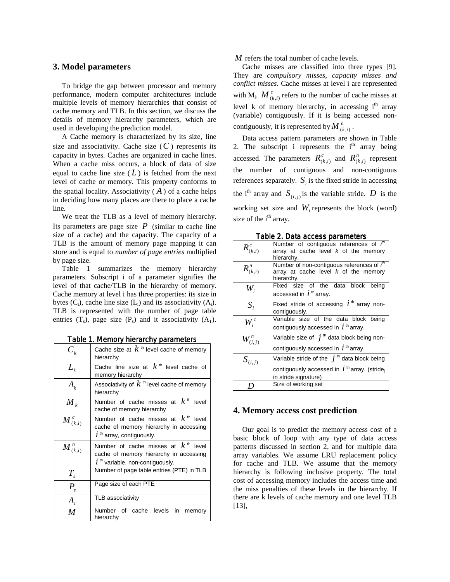### **3. Model parameters**

To bridge the gap between processor and memory performance, modern computer architectures include multiple levels of memory hierarchies that consist of cache memory and TLB. In this section, we discuss the details of memory hierarchy parameters, which are used in developing the prediction model.

A Cache memory is characterized by its size, line size and associativity. Cache size  $(C)$  represents its capacity in bytes. Caches are organized in cache lines. When a cache miss occurs, a block of data of size equal to cache line size  $(L)$  is fetched from the next level of cache or memory. This property conforms to the spatial locality. Associativity  $(A)$  of a cache helps in deciding how many places are there to place a cache line.

We treat the TLB as a level of memory hierarchy. Its parameters are page size  $P$  (similar to cache line size of a cache) and the capacity. The capacity of a TLB is the amount of memory page mapping it can store and is equal to *number of page entries* multiplied by page size.

Table 1 summarizes the memory hierarchy parameters. Subscript i of a parameter signifies the level of that cache/TLB in the hierarchy of memory. Cache memory at level i has three properties: its size in bytes  $(C_i)$ , cache line size  $(L_i)$  and its associativity  $(A_i)$ . TLB is represented with the number of page table entries  $(T_s)$ , page size  $(P_s)$  and it associativity  $(A_T)$ .

| Table 1. Memory hierarchy parameters |  |  |
|--------------------------------------|--|--|
|--------------------------------------|--|--|

| $\overline{\mathcal{C}}_k$  | Cache size at $k^{\text{th}}$ level cache of memory<br>hierarchy                                                               |
|-----------------------------|--------------------------------------------------------------------------------------------------------------------------------|
| $L_{\scriptscriptstyle{k}}$ | Cache line size at $k^{\text{th}}$ level cache of<br>memory hierarchy                                                          |
| $A_{k}$                     | Associativity of $k^{\text{th}}$ level cache of memory<br>hierarchy                                                            |
| $M_{\nu}$                   | Number of cache misses at $k^{\text{th}}$ level<br>cache of memory hierarchy                                                   |
| $M_{(k,i)}^c$               | Number of cache misses at $k^{th}$ level<br>cache of memory hierarchy in accessing<br>$ith$ array, contiguously.               |
| $M_{(k,i)}^n$               | Number of cache misses at $k^{\text{th}}$ level<br>cache of memory hierarchy in accessing<br>$ith$ variable, non-contiguously. |
| $T_{s}$                     | Number of page table entries (PTE) in TLB                                                                                      |
| $P_{s}$                     | Page size of each PTE                                                                                                          |
| $A_{\tau}$                  | TLB associativity                                                                                                              |
| $\overline{M}$              | Number of cache levels in<br>memory<br>hierarchy                                                                               |

*M* refers the total number of cache levels.

Cache misses are classified into three types [9]. They are *compulsory misses, capacity misses and conflict misses*. Cache misses at level i are represented with M<sub>i</sub>.  $M_{(k,i)}^c$  refers to the number of cache misses at level k of memory hierarchy, in accessing  $i<sup>th</sup>$  array (variable) contiguously. If it is being accessed noncontiguously, it is represented by  $M_{(k,i)}^n$ .

Data access pattern parameters are shown in Table 2. The subscript i represents the  $i<sup>th</sup>$  array being accessed. The parameters  $R^c_{(k,i)}$  and  $R^n_{(k,i)}$  represent the number of contiguous and non-contiguous references separately.  $S_i$  is the fixed stride in accessing the i<sup>th</sup> array and  $S_{(i, i)}$  is the variable stride. *D* is the working set size and  $W_i$  represents the block (word) size of the  $i<sup>th</sup>$  array.

| rable 2. Dala access parameters |                                                                                                                                     |  |
|---------------------------------|-------------------------------------------------------------------------------------------------------------------------------------|--|
| $R_{(k,i)}^c$                   | Number of contiguous references of ith<br>array at cache level $k$ of the memory<br>hierarchy.                                      |  |
| $R_{(k,i)}^n$                   | Number of non-contiguous references of $f''$<br>array at cache level $k$ of the memory<br>hierarchy.                                |  |
| $W_{i}$                         | Fixed size of the data block being<br>accessed in $i^{\text{th}}$ array.                                                            |  |
| $S_i$                           | Fixed stride of accessing $ith$ array non-<br>contiguously.                                                                         |  |
| $W_i^c$                         | Variable size of the data block being<br>contiguously accessed in $ith$ array.                                                      |  |
| $W_{(i, j)}^n$                  | Variable size of $j^{\text{th}}$ data block being non-<br>contiguously accessed in $ith$ array.                                     |  |
| $S_{(i,j)}$                     | Variable stride of the $j^{th}$ data block being<br>contiguously accessed in $i^{\text{th}}$ array. (stride<br>in stride signature) |  |
|                                 | Size of working set                                                                                                                 |  |

Table 2. Data access parameters 2. Data parameters parameters

#### **4. Memory access cost prediction**

Our goal is to predict the memory access cost of a basic block of loop with any type of data access patterns discussed in section 2, and for multiple data array variables. We assume LRU replacement policy for cache and TLB. We assume that the memory hierarchy is following inclusive property. The total cost of accessing memory includes the access time and the miss penalties of these levels in the hierarchy. If there are k levels of cache memory and one level TLB [13],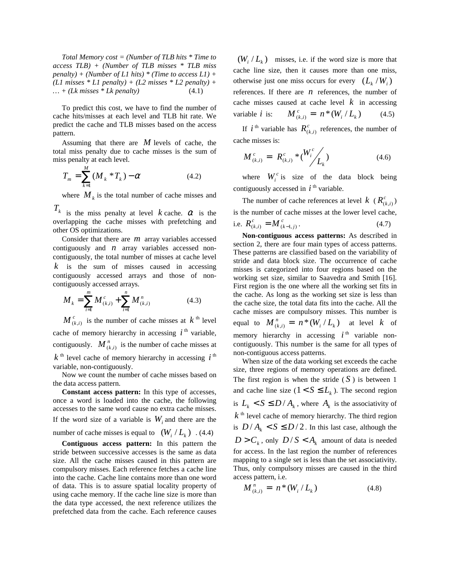*Total Memory cost = (Number of TLB hits \* Time to access TLB) + (Number of TLB misses \* TLB miss penalty) + (Number of L1 hits) \* (Time to access L1) + (L1 misses \* L1 penalty) + (L2 misses \* L2 penalty) +*   $...$  + (Lk misses \* Lk penalty) (4.1)

To predict this cost, we have to find the number of cache hits/misses at each level and TLB hit rate. We predict the cache and TLB misses based on the access pattern.

Assuming that there are *M* levels of cache, the total miss penalty due to cache misses is the sum of miss penalty at each level.

$$
T_m = \sum_{k=1}^{M} (M_k * T_k) - \alpha
$$
 (4.2)

where  $M_k$  is the total number of cache misses and

 $T_k$  is the miss penalty at level *k* cache.  $\alpha$  is the overlapping the cache misses with prefetching and other OS optimizations.

Consider that there are *m* array variables accessed contiguously and *n* array variables accessed noncontiguously, the total number of misses at cache level *k* is the sum of misses caused in accessing contiguously accessed arrays and those of noncontiguously accessed arrays.

$$
M_{k} = \sum_{i=1}^{m} M_{(k,i)}^{c} + \sum_{i=1}^{n} M_{(k,i)}^{n}
$$
 (4.3)

 $M_{(k,i)}^c$  is the number of cache misses at  $k^{\text{th}}$  level cache of memory hierarchy in accessing  $i<sup>th</sup>$  variable, contiguously.  $M_{(k,i)}^n$  is the number of cache misses at  $k<sup>th</sup>$  level cache of memory hierarchy in accessing  $i<sup>th</sup>$ variable, non-contiguously.

Now we count the number of cache misses based on the data access pattern.

**Constant access pattern:** In this type of accesses, once a word is loaded into the cache, the following accesses to the same word cause no extra cache misses. If the word size of a variable is  $W_i$  and there are the number of cache misses is equal to  $\left[ (W_i / L_k) \right]$ . (4.4)

**Contiguous access pattern:** In this pattern the stride between successive accesses is the same as data size. All the cache misses caused in this pattern are compulsory misses. Each reference fetches a cache line into the cache. Cache line contains more than one word of data. This is to assure spatial locality property of using cache memory. If the cache line size is more than the data type accessed, the next reference utilizes the prefetched data from the cache. Each reference causes

 $[(W_i/L_k)]$  misses, i.e. if the word size is more that cache line size, then it causes more than one miss, otherwise just one miss occurs for every  $\left( \frac{L_k}{W_i} \right)$ references. If there are *n* references, the number of cache misses caused at cache level *k* in accessing variable *i* is:  $M_{(k,i)}^c = \left[ n * (W_i / L_k) \right]$  (4.5)

If *i*<sup>th</sup> variable has  $R_{(k,i)}^c$  references, the number of cache misses is:

$$
M_{(k,i)}^c = \left[ R_{(k,i)}^c * \binom{W_i^c}{L_k} \right] \tag{4.6}
$$

where  $W_i^c$  is size of the data block being contiguously accessed in  $i<sup>th</sup>$  variable.

The number of cache references at level  $k \left( R_{(k,i)}^c \right)$ is the number of cache misses at the lower level cache, i.e.  $R^c_{(k,i)} = M^c_{(k-1,j)}$ . (4.7)

**Non-contiguous access patterns:** As described in section 2, there are four main types of access patterns. These patterns are classified based on the variability of stride and data block size. The occurrence of cache misses is categorized into four regions based on the working set size, similar to Saavedra and Smith [16]. First region is the one where all the working set fits in the cache. As long as the working set size is less than the cache size, the total data fits into the cache. All the cache misses are compulsory misses. This number is equal to  $M_{(k,i)}^n = \left[ n * (W_i / L_k) \right]$  at level  $k$  of memory hierarchy in accessing  $i<sup>th</sup>$  variable noncontiguously. This number is the same for all types of non-contiguous access patterns.

When size of the data working set exceeds the cache size, three regions of memory operations are defined. The first region is when the stride  $(S)$  is between 1 and cache line size  $(1 < S \leq L_k)$ . The second region is  $L_k < S \leq D/A_k$ , where  $A_k$  is the associativity of  $k<sup>th</sup>$  level cache of memory hierarchy. The third region is  $D/A_k < S \leq D/2$ . In this last case, although the  $D > C_k$ , only  $D/S < A_k$  amount of data is needed for access. In the last region the number of references mapping to a single set is less than the set associativity. Thus, only compulsory misses are caused in the third access pattern, i.e.

$$
M_{(k,i)}^n = \left[ n * (W_i / L_k) \right] \tag{4.8}
$$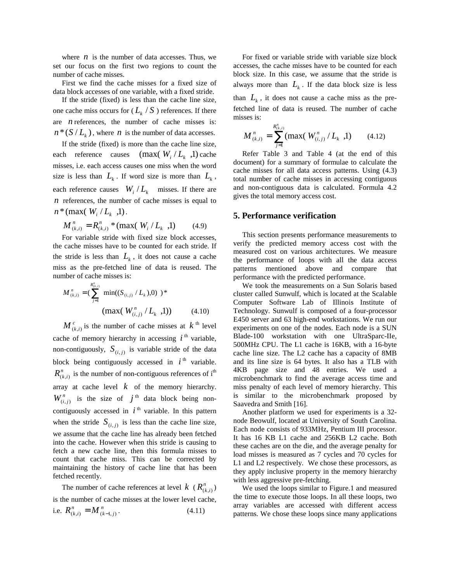where  $n$  is the number of data accesses. Thus, we set our focus on the first two regions to count the number of cache misses.

First we find the cache misses for a fixed size of data block accesses of one variable, with a fixed stride.

If the stride (fixed) is less than the cache line size, one cache miss occurs for  $(L_k / S)$  references. If there are *n* references, the number of cache misses is:  $n*(S/L_k)$ , where *n* is the number of data accesses.

If the stride (fixed) is more than the cache line size, each reference causes  $(\max(W_i/L_i))$  cache misses, i.e. each access causes one miss when the word size is less than  $L_k$ . If word size is more than  $L_k$ , each reference causes  $\left[W_i/L_k\right]$  misses. If there are  *references, the number of cache misses is equal to*  $n^*$ (max( $\left[W_i/L_k\right]$ ,1).

$$
M_{(k,i)}^n = R_{(k,i)}^n * (\max(\overline{W}_i / L_k \cdot 1))
$$
 (4.9)

For variable stride with fixed size block accesses, the cache misses have to be counted for each stride. If the stride is less than  $L_k$ , it does not cause a cache miss as the pre-fetched line of data is reused. The number of cache misses is:

$$
M_{(k,i)}^n = (\sum_{j=1}^{R_{(k,i)}^n} \lfloor \min((S_{(i,j)}/L_k), 0) \rfloor)^*
$$
  
\n
$$
(\max(\left|W_{(i,j)}^n / L_k \right| 1))
$$
 (4.10)

 $M_{(k,i)}^c$  is the number of cache misses at  $k^{\text{th}}$  level cache of memory hierarchy in accessing  $i<sup>th</sup>$  variable, non-contiguously,  $S_{(i,j)}$  is variable stride of the data block being contiguously accessed in  $i<sup>th</sup>$  variable.  $R_{(k,i)}^n$  is the number of non-contiguous references of i<sup>th</sup> array at cache level  $k$  of the memory hierarchy.  $W_{(i,j)}^n$  is the size of  $j^{\text{th}}$  data block being noncontiguously accessed in  $i<sup>th</sup>$  variable. In this pattern when the stride  $S_{(i,j)}$  is less than the cache line size, we assume that the cache line has already been fetched into the cache. However when this stride is causing to fetch a new cache line, then this formula misses to count that cache miss. This can be corrected by maintaining the history of cache line that has been fetched recently.

The number of cache references at level  $k$  ( $R_{(k,i)}^n$ ) is the number of cache misses at the lower level cache, i.e.  $R_{(k,i)}^n = M_{(k-1,j)}^n$ . (4.11)

For fixed or variable stride with variable size block accesses, the cache misses have to be counted for each block size. In this case, we assume that the stride is always more than  $L_k$ . If the data block size is less than  $L_k$ , it does not cause a cache miss as the prefetched line of data is reused. The number of cache misses is:

$$
M_{(k,i)}^n = \sum_{j=1}^{R_{(k,i)}^n} (\max(\overline{W_{(i,j)}^n} / L_k \cdot 1))
$$
 (4.12)

Refer Table 3 and Table 4 (at the end of this document) for a summary of formulae to calculate the cache misses for all data access patterns. Using (4.3) total number of cache misses in accessing contiguous and non-contiguous data is calculated. Formula 4.2 gives the total memory access cost.

#### **5. Performance verification**

This section presents performance measurements to verify the predicted memory access cost with the measured cost on various architectures. We measure the performance of loops with all the data access patterns mentioned above and compare that performance with the predicted performance.

We took the measurements on a Sun Solaris based cluster called Sunwulf, which is located at the Scalable Computer Software Lab of Illinois Institute of Technology. Sunwulf is composed of a four-processor E450 server and 63 high-end workstations. We run our experiments on one of the nodes. Each node is a SUN Blade-100 workstation with one UltraSparc-IIe, 500MHz CPU. The L1 cache is 16KB, with a 16-byte cache line size. The L2 cache has a capacity of 8MB and its line size is 64 bytes. It also has a TLB with 4KB page size and 48 entries. We used a microbenchmark to find the average access time and miss penalty of each level of memory hierarchy. This is similar to the microbenchmark proposed by Saavedra and Smith [16].

Another platform we used for experiments is a 32 node Beowulf, located at University of South Carolina. Each node consists of 933MHz, Pentium III processor. It has 16 KB L1 cache and 256KB L2 cache. Both these caches are on the die, and the average penalty for load misses is measured as 7 cycles and 70 cycles for L1 and L2 respectively. We chose these processors, as they apply inclusive property in the memory hierarchy with less aggressive pre-fetching.

We used the loops similar to Figure.1 and measured the time to execute those loops. In all these loops, two array variables are accessed with different access patterns. We chose these loops since many applications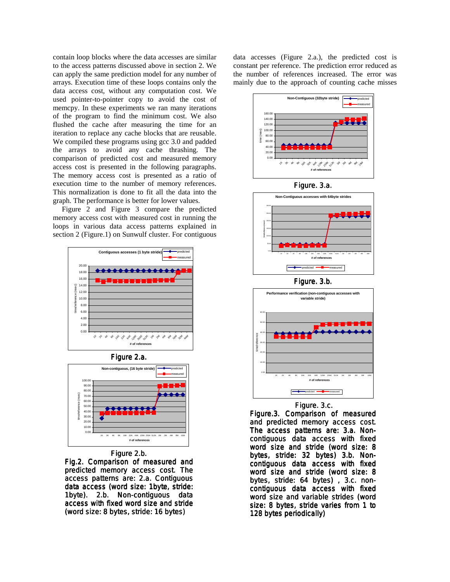contain loop blocks where the data accesses are similar to the access patterns discussed above in section 2. We can apply the same prediction model for any number of arrays. Execution time of these loops contains only the data access cost, without any computation cost. We used pointer-to-pointer copy to avoid the cost of memcpy. In these experiments we ran many iterations of the program to find the minimum cost. We also flushed the cache after measuring the time for an iteration to replace any cache blocks that are reusable. We compiled these programs using gcc 3.0 and padded the arrays to avoid any cache thrashing. The comparison of predicted cost and measured memory access cost is presented in the following paragraphs. The memory access cost is presented as a ratio of execution time to the number of memory references. This normalization is done to fit all the data into the graph. The performance is better for lower values.

Figure 2 and Figure 3 compare the predicted memory access cost with measured cost in running the loops in various data access patterns explained in section 2 (Figure.1) on Sunwulf cluster. For contiguous







#### Figure 2.b.

Fig.2. Comparison of measured and predicted memory access cost. The access patterns are: 2.a. Contiguous data access (word size: 1byte, stride: 1byte). 2.b. Non-contiguous data access with fixed word size and stride (word size: 8 bytes, stride: 16 bytes) (word

data accesses (Figure 2.a.), the predicted cost is constant per reference. The prediction error reduced as the number of references increased. The error was mainly due to the approach of counting cache misses



### Figure. 3.c.

Figure.3. Comparison of measured and predicted memory access cost. The access patterns are: 3.a. Noncontiguous data access with fixed word size and stride (word size: 8 bytes, stride: 32 bytes) 3.b. Noncontiguous data access with fixed word size and stride (word size: 8 bytes, stride: 64 bytes) , 3.c. noncontiguous data access with fixed word size and variable strides (word size: 8 bytes, stride varies from 1 to 128 bytes periodically)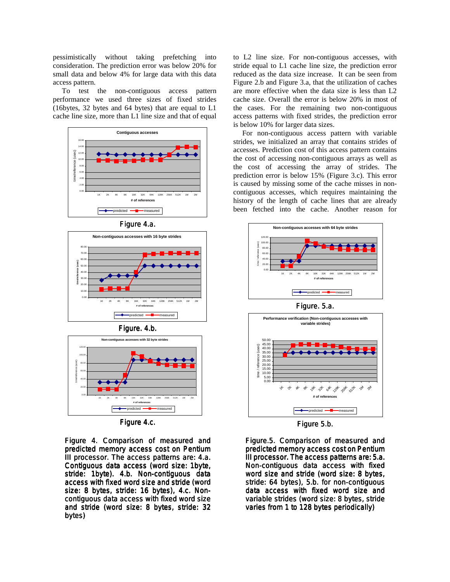pessimistically without taking prefetching into consideration. The prediction error was below 20% for small data and below 4% for large data with this data access pattern.

To test the non-contiguous access pattern performance we used three sizes of fixed strides (16bytes, 32 bytes and 64 bytes) that are equal to L1 cache line size, more than L1 line size and that of equal



Figure 4.a.



Figure. 4.b.



Figure 4.c.

Figure 4. Comparison of measured and predicted memory access cost on Pentium III processor. The access patterns are: 4.a. Contiguous data access (word size: 1byte, stride: 1byte). 4.b. Non-contiguous data access with fixed word size and stride (word size: 8 bytes, stride:  $16$  bytes),  $4.c.$  Noncontiguous data access with fixed word size and stride (word size: 8 bytes, stride: 32 bytes)

to L2 line size. For non-contiguous accesses, with stride equal to L1 cache line size, the prediction error reduced as the data size increase. It can be seen from Figure 2.b and Figure 3.a, that the utilization of caches are more effective when the data size is less than L2 cache size. Overall the error is below 20% in most of the cases. For the remaining two non-contiguous access patterns with fixed strides, the prediction error is below 10% for larger data sizes.

For non-contiguous access pattern with variable strides, we initialized an array that contains strides of accesses. Prediction cost of this access pattern contains the cost of accessing non-contiguous arrays as well as the cost of accessing the array of strides. The prediction error is below 15% (Figure 3.c). This error is caused by missing some of the cache misses in noncontiguous accesses, which requires maintaining the history of the length of cache lines that are already been fetched into the cache. Another reason for





Figure 5.b.

Figure.5. Comparison of measured and predicted memory access cost on Pentium III processor. The access patterns are: 5.a. Non-contiguous data access with fixed word size and stride (word size: 8 bytes, stride:  $64$  bytes), 5.b. for non-contiguous data access with fixed word size and variable strides (word size: 8 bytes, stride varies from 1 to 128 bytes periodically)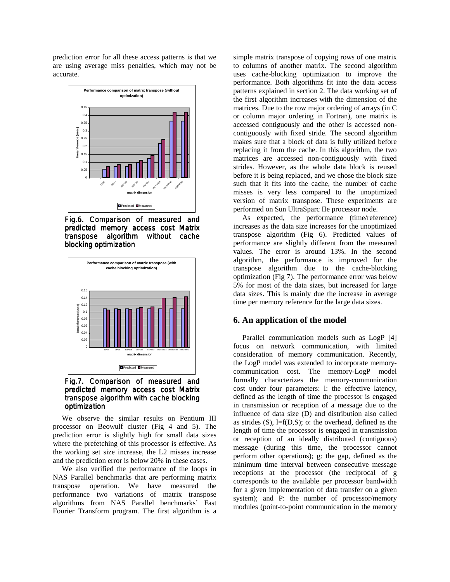prediction error for all these access patterns is that we are using average miss penalties, which may not be accurate.



Fig.6. Comparison of measured and predicted memory access cost Matrix transpose algorithm without cache blocking optimization



Fig.7. Comparison of measured and predicted memory access cost Matrix transpose algorithm with cache blocking optimization

We observe the similar results on Pentium III processor on Beowulf cluster (Fig 4 and 5). The prediction error is slightly high for small data sizes where the prefetching of this processor is effective. As the working set size increase, the L2 misses increase and the prediction error is below 20% in these cases.

We also verified the performance of the loops in NAS Parallel benchmarks that are performing matrix transpose operation. We have measured the performance two variations of matrix transpose algorithms from NAS Parallel benchmarks' Fast Fourier Transform program. The first algorithm is a

simple matrix transpose of copying rows of one matrix to columns of another matrix. The second algorithm uses cache-blocking optimization to improve the performance. Both algorithms fit into the data access patterns explained in section 2. The data working set of the first algorithm increases with the dimension of the matrices. Due to the row major ordering of arrays (in C or column major ordering in Fortran), one matrix is accessed contiguously and the other is accessed noncontiguously with fixed stride. The second algorithm makes sure that a block of data is fully utilized before replacing it from the cache. In this algorithm, the two matrices are accessed non-contiguously with fixed strides. However, as the whole data block is reused before it is being replaced, and we chose the block size such that it fits into the cache, the number of cache misses is very less compared to the unoptimized version of matrix transpose. These experiments are performed on Sun UltraSparc IIe processor node.

As expected, the performance (time/reference) increases as the data size increases for the unoptimized transpose algorithm (Fig 6). Predicted values of performance are slightly different from the measured values. The error is around 13%. In the second algorithm, the performance is improved for the transpose algorithm due to the cache-blocking optimization (Fig 7). The performance error was below 5% for most of the data sizes, but increased for large data sizes. This is mainly due the increase in average time per memory reference for the large data sizes.

## **6. An application of the model**

Parallel communication models such as LogP [4] focus on network communication, with limited consideration of memory communication. Recently, the LogP model was extended to incorporate memorycommunication cost. The memory-LogP model formally characterizes the memory-communication cost under four parameters: l: the effective latency, defined as the length of time the processor is engaged in transmission or reception of a message due to the influence of data size (D) and distribution also called as strides  $(S)$ , l=f $(D,S)$ ; o: the overhead, defined as the length of time the processor is engaged in transmission or reception of an ideally distributed (contiguous) message (during this time, the processor cannot perform other operations); g: the gap, defined as the minimum time interval between consecutive message receptions at the processor (the reciprocal of g corresponds to the available per processor bandwidth for a given implementation of data transfer on a given system); and P: the number of processor/memory modules (point-to-point communication in the memory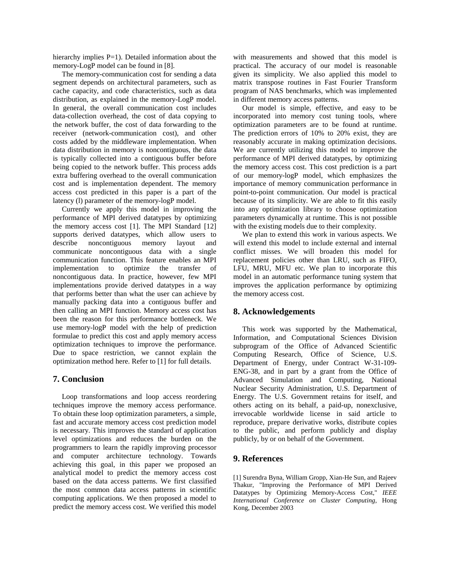hierarchy implies P=1). Detailed information about the memory-LogP model can be found in [8].

The memory-communication cost for sending a data segment depends on architectural parameters, such as cache capacity, and code characteristics, such as data distribution, as explained in the memory-LogP model. In general, the overall communication cost includes data-collection overhead, the cost of data copying to the network buffer, the cost of data forwarding to the receiver (network-communication cost), and other costs added by the middleware implementation. When data distribution in memory is noncontiguous, the data is typically collected into a contiguous buffer before being copied to the network buffer. This process adds extra buffering overhead to the overall communication cost and is implementation dependent. The memory access cost predicted in this paper is a part of the latency (l) parameter of the memory-logP model.

Currently we apply this model in improving the performance of MPI derived datatypes by optimizing the memory access cost [1]. The MPI Standard [12] supports derived datatypes, which allow users to describe noncontiguous memory layout and communicate noncontiguous data with a single communication function. This feature enables an MPI implementation to optimize the transfer of noncontiguous data. In practice, however, few MPI implementations provide derived datatypes in a way that performs better than what the user can achieve by manually packing data into a contiguous buffer and then calling an MPI function. Memory access cost has been the reason for this performance bottleneck. We use memory-logP model with the help of prediction formulae to predict this cost and apply memory access optimization techniques to improve the performance. Due to space restriction, we cannot explain the optimization method here. Refer to [1] for full details.

#### **7. Conclusion**

Loop transformations and loop access reordering techniques improve the memory access performance. To obtain these loop optimization parameters, a simple, fast and accurate memory access cost prediction model is necessary. This improves the standard of application level optimizations and reduces the burden on the programmers to learn the rapidly improving processor and computer architecture technology. Towards achieving this goal, in this paper we proposed an analytical model to predict the memory access cost based on the data access patterns. We first classified the most common data access patterns in scientific computing applications. We then proposed a model to predict the memory access cost. We verified this model with measurements and showed that this model is practical. The accuracy of our model is reasonable given its simplicity. We also applied this model to matrix transpose routines in Fast Fourier Transform program of NAS benchmarks, which was implemented in different memory access patterns.

Our model is simple, effective, and easy to be incorporated into memory cost tuning tools, where optimization parameters are to be found at runtime. The prediction errors of 10% to 20% exist, they are reasonably accurate in making optimization decisions. We are currently utilizing this model to improve the performance of MPI derived datatypes, by optimizing the memory access cost. This cost prediction is a part of our memory-logP model, which emphasizes the importance of memory communication performance in point-to-point communication. Our model is practical because of its simplicity. We are able to fit this easily into any optimization library to choose optimization parameters dynamically at runtime. This is not possible with the existing models due to their complexity.

We plan to extend this work in various aspects. We will extend this model to include external and internal conflict misses. We will broaden this model for replacement policies other than LRU, such as FIFO, LFU, MRU, MFU etc. We plan to incorporate this model in an automatic performance tuning system that improves the application performance by optimizing the memory access cost.

### **8. Acknowledgements**

This work was supported by the Mathematical, Information, and Computational Sciences Division subprogram of the Office of Advanced Scientific Computing Research, Office of Science, U.S. Department of Energy, under Contract W-31-109- ENG-38, and in part by a grant from the Office of Advanced Simulation and Computing, National Nuclear Security Administration, U.S. Department of Energy. The U.S. Government retains for itself, and others acting on its behalf, a paid-up, nonexclusive, irrevocable worldwide license in said article to reproduce, prepare derivative works, distribute copies to the public, and perform publicly and display publicly, by or on behalf of the Government.

## **9. References**

[1] Surendra Byna, William Gropp, Xian-He Sun, and Rajeev Thakur, "Improving the Performance of MPI Derived Datatypes by Optimizing Memory-Access Cost," *IEEE International Conference on Cluster Computing*, Hong Kong, December 2003